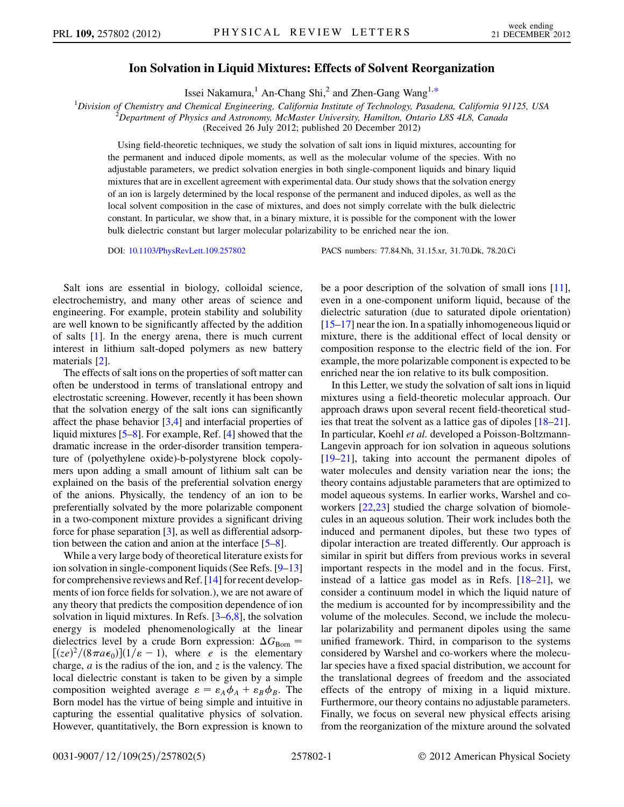## Ion Solvation in Liquid Mixtures: Effects of Solvent Reorganization

Issei Nakamura,<sup>1</sup> An-Chang Shi,<sup>2</sup> and Zhen-Gang Wang<sup>1,[\\*](#page-4-0)</sup>

<span id="page-0-0"></span><sup>1</sup>Division of Chemistry and Chemical Engineering, California Institute of Technology, Pasadena, California 91125, USA  $\frac{2}{P}$ Papartment of Physics and Astronomy, McMaster University, Hamilton, Ontario L8S 4L8, Canada

Department of Physics and Astronomy, McMaster University, Hamilton, Ontario L8S 4L8, Canada

(Received 26 July 2012; published 20 December 2012)

Using field-theoretic techniques, we study the solvation of salt ions in liquid mixtures, accounting for the permanent and induced dipole moments, as well as the molecular volume of the species. With no adjustable parameters, we predict solvation energies in both single-component liquids and binary liquid mixtures that are in excellent agreement with experimental data. Our study shows that the solvation energy of an ion is largely determined by the local response of the permanent and induced dipoles, as well as the local solvent composition in the case of mixtures, and does not simply correlate with the bulk dielectric constant. In particular, we show that, in a binary mixture, it is possible for the component with the lower bulk dielectric constant but larger molecular polarizability to be enriched near the ion.

DOI: [10.1103/PhysRevLett.109.257802](http://dx.doi.org/10.1103/PhysRevLett.109.257802) PACS numbers: 77.84.Nh, 31.15.xr, 31.70.Dk, 78.20.Ci

Salt ions are essential in biology, colloidal science, electrochemistry, and many other areas of science and engineering. For example, protein stability and solubility are well known to be significantly affected by the addition of salts [\[1](#page-4-1)]. In the energy arena, there is much current interest in lithium salt-doped polymers as new battery materials [\[2](#page-4-2)].

The effects of salt ions on the properties of soft matter can often be understood in terms of translational entropy and electrostatic screening. However, recently it has been shown that the solvation energy of the salt ions can significantly affect the phase behavior [[3](#page-4-3)[,4](#page-4-4)] and interfacial properties of liquid mixtures [[5](#page-4-5)[–8](#page-4-6)]. For example, Ref. [\[4\]](#page-4-4) showed that the dramatic increase in the order-disorder transition temperature of (polyethylene oxide)-b-polystyrene block copolymers upon adding a small amount of lithium salt can be explained on the basis of the preferential solvation energy of the anions. Physically, the tendency of an ion to be preferentially solvated by the more polarizable component in a two-component mixture provides a significant driving force for phase separation [\[3](#page-4-3)], as well as differential adsorption between the cation and anion at the interface [\[5](#page-4-5)[–8](#page-4-6)].

While a very large body of theoretical literature exists for ion solvation in single-component liquids (See Refs. [[9–](#page-4-7)[13\]](#page-4-8) for comprehensive reviews and Ref. [[14](#page-4-9)] for recent developments of ion force fields for solvation.), we are not aware of any theory that predicts the composition dependence of ion solvation in liquid mixtures. In Refs. [\[3–](#page-4-3)[6](#page-4-10),[8\]](#page-4-6), the solvation energy is modeled phenomenologically at the linear dielectrics level by a crude Born expression:  $\Delta G_{\text{Born}} =$  $[(ze)^2/(8\pi a\epsilon_0)](1/\epsilon - 1)$ , where *e* is the elementary<br>charge *a* is the radius of the ion and *z* is the valency. The charge,  $a$  is the radius of the ion, and  $z$  is the valency. The local dielectric constant is taken to be given by a simple composition weighted average  $\varepsilon = \varepsilon_A \phi_A + \varepsilon_B \phi_B$ . The Born model has the virtue of being simple and intuitive in capturing the essential qualitative physics of solvation. However, quantitatively, the Born expression is known to be a poor description of the solvation of small ions [[11\]](#page-4-11), even in a one-component uniform liquid, because of the dielectric saturation (due to saturated dipole orientation) [\[15–](#page-4-12)[17\]](#page-4-13) near the ion. In a spatially inhomogeneous liquid or mixture, there is the additional effect of local density or composition response to the electric field of the ion. For example, the more polarizable component is expected to be enriched near the ion relative to its bulk composition.

In this Letter, we study the solvation of salt ions in liquid mixtures using a field-theoretic molecular approach. Our approach draws upon several recent field-theoretical studies that treat the solvent as a lattice gas of dipoles [[18](#page-4-14)–[21\]](#page-4-15). In particular, Koehl et al. developed a Poisson-Boltzmann-Langevin approach for ion solvation in aqueous solutions [\[19–](#page-4-16)[21\]](#page-4-15), taking into account the permanent dipoles of water molecules and density variation near the ions; the theory contains adjustable parameters that are optimized to model aqueous systems. In earlier works, Warshel and coworkers [[22](#page-4-17),[23](#page-4-18)] studied the charge solvation of biomolecules in an aqueous solution. Their work includes both the induced and permanent dipoles, but these two types of dipolar interaction are treated differently. Our approach is similar in spirit but differs from previous works in several important respects in the model and in the focus. First, instead of a lattice gas model as in Refs.  $[18–21]$  $[18–21]$  $[18–21]$ , we consider a continuum model in which the liquid nature of the medium is accounted for by incompressibility and the volume of the molecules. Second, we include the molecular polarizability and permanent dipoles using the same unified framework. Third, in comparison to the systems considered by Warshel and co-workers where the molecular species have a fixed spacial distribution, we account for the translational degrees of freedom and the associated effects of the entropy of mixing in a liquid mixture. Furthermore, our theory contains no adjustable parameters. Finally, we focus on several new physical effects arising from the reorganization of the mixture around the solvated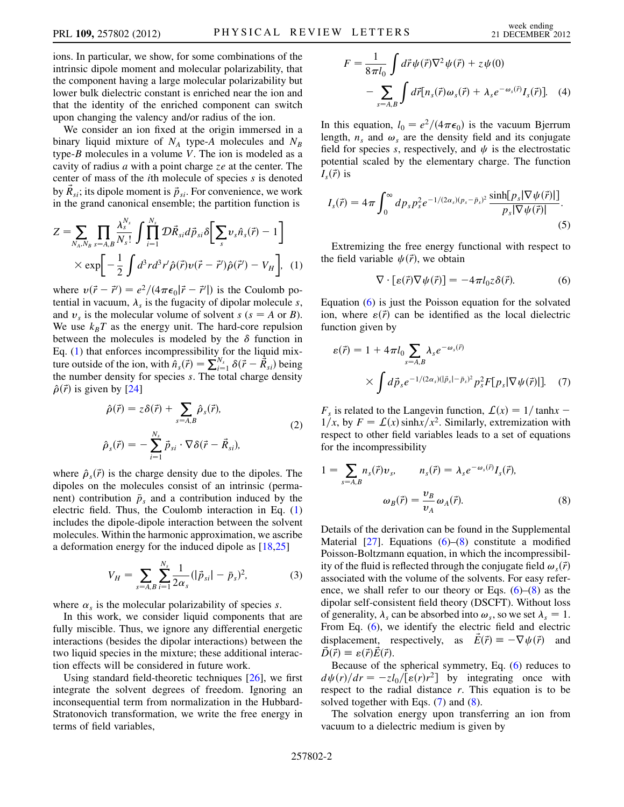ions. In particular, we show, for some combinations of the intrinsic dipole moment and molecular polarizability, that the component having a large molecular polarizability but lower bulk dielectric constant is enriched near the ion and that the identity of the enriched component can switch upon changing the valency and/or radius of the ion.

We consider an ion fixed at the origin immersed in a binary liquid mixture of  $N_A$  type-A molecules and  $N_B$ type- $B$  molecules in a volume  $V$ . The ion is modeled as a cavity of radius a with a point charge  $ze$  at the center. The center of mass of the ith molecule of species s is denoted by  $\vec{R}_{si}$ ; its dipole moment is  $\vec{p}_{si}$ . For convenience, we work in the grand canonical ensemble; the partition function is

<span id="page-1-0"></span>
$$
Z = \sum_{N_A, N_B} \prod_{s=A,B} \frac{\lambda_s^{N_s}}{N_s!} \int \prod_{i=1}^{N_s} \mathcal{D} \vec{R}_{si} d\vec{p}_{si} \delta \left[ \sum_s v_s \hat{n}_s(\vec{r}) - 1 \right]
$$
  
 
$$
\times \exp \left[ -\frac{1}{2} \int d^3r d^3r' \hat{\rho}(\vec{r}) v(\vec{r} - \vec{r}') \hat{\rho}(\vec{r}') - V_H \right], \quad (1)
$$

where  $v(\vec{r} - \vec{r}') = e^2/(4\pi\epsilon_0 |\vec{r} - \vec{r}'|)$  is the Coulomb po-<br>tential in vacuum  $\lambda$  is the fugacity of dinotar molecule s tential in vacuum,  $\lambda_s$  is the fugacity of dipolar molecule s, and  $v_s$  is the molecular volume of solvent s ( $s = A$  or B). We use  $k_B T$  as the energy unit. The hard-core repulsion between the molecules is modeled by the  $\delta$  function in Eq. ([1](#page-1-0)) that enforces incompressibility for the liquid mixture outside of the ion, with  $\hat{n}_s(\vec{r}) = \sum_{i=1}^{N_s} \delta(\vec{r} - \vec{R}_{si})$  being<br>the number density for species s. The total charge density the number density for species s. The total charge density  $\hat{\rho}(\vec{r})$  is given by [\[24\]](#page-4-19)

$$
\hat{\rho}(\vec{r}) = z\delta(\vec{r}) + \sum_{s=A,B} \hat{\rho}_s(\vec{r}),
$$
\n
$$
\hat{\rho}_s(\vec{r}) = -\sum_{i=1}^{N_s} \vec{p}_{si} \cdot \nabla \delta(\vec{r} - \vec{R}_{si}),
$$
\n(2)

where  $\hat{\rho}_{s}(\vec{r})$  is the charge density due to the dipoles. The dipoles on the molecules consist of an intrinsic (permanent) contribution  $\bar{p}_s$  and a contribution induced by the electric field. Thus, the Coulomb interaction in Eq. [\(1\)](#page-1-0) includes the dipole-dipole interaction between the solvent molecules. Within the harmonic approximation, we ascribe a deformation energy for the induced dipole as [\[18](#page-4-14)[,25\]](#page-4-20)

$$
V_H = \sum_{s=A,B} \sum_{i=1}^{N_s} \frac{1}{2\alpha_s} (|\vec{p}_{si}| - \bar{p}_s)^2, \tag{3}
$$

where  $\alpha_s$  is the molecular polarizability of species s.

In this work, we consider liquid components that are fully miscible. Thus, we ignore any differential energetic interactions (besides the dipolar interactions) between the two liquid species in the mixture; these additional interaction effects will be considered in future work.

Using standard field-theoretic techniques [[26](#page-4-21)], we first integrate the solvent degrees of freedom. Ignoring an inconsequential term from normalization in the Hubbard-Stratonovich transformation, we write the free energy in terms of field variables,

$$
F = \frac{1}{8\pi l_0} \int d\vec{r} \psi(\vec{r}) \nabla^2 \psi(\vec{r}) + z \psi(0)
$$

$$
- \sum_{s=A,B} \int d\vec{r} [n_s(\vec{r}) \omega_s(\vec{r}) + \lambda_s e^{-\omega_s(\vec{r})} I_s(\vec{r})]. \quad (4)
$$

In this equation,  $l_0 = e^2/(4\pi\epsilon_0)$  is the vacuum Bjerrum<br>length *n* and  $\omega$  are the density field and its conjugate length,  $n_s$  and  $\omega_s$  are the density field and its conjugate field for species s, respectively, and  $\psi$  is the electrostatic potential scaled by the elementary charge. The function  $I_s(\vec{r})$  is

$$
I_s(\vec{r}) = 4\pi \int_0^\infty dp_s p_s^2 e^{-1/(2\alpha_s)(p_s - \bar{p}_s)^2} \frac{\sinh[p_s|\nabla\psi(\vec{r})|]}{p_s|\nabla\psi(\vec{r})|}.
$$
\n(5)

<span id="page-1-1"></span>Extremizing the free energy functional with respect to the field variable  $\psi(\vec{r})$ , we obtain

$$
\nabla \cdot \left[ \varepsilon(\vec{r}) \nabla \psi(\vec{r}) \right] = -4\pi l_0 z \delta(\vec{r}). \tag{6}
$$

<span id="page-1-3"></span>Equation ([6](#page-1-1)) is just the Poisson equation for the solvated ion, where  $\varepsilon(\vec{r})$  can be identified as the local dielectric function given by

$$
\varepsilon(\vec{r}) = 1 + 4\pi l_0 \sum_{s=A,B} \lambda_s e^{-\omega_s(\vec{r})}
$$

$$
\times \int d\vec{p}_s e^{-1/(2\alpha_s)(|\vec{p}_s| - \vec{p}_s)^2} p_s^2 F[p_s|\nabla\psi(\vec{r})|]. \tag{7}
$$

<span id="page-1-2"></span> $F_s$  is related to the Langevin function,  $\mathcal{L}(x) = 1/\tanh x - 1/x$  by  $F = \int (x) \sinh x / x^2$ . Similarly extremization with  $1/x$ , by  $F = \mathcal{L}(x) \sinh(x/x^2)$ . Similarly, extremization with respect to other field variables leads to a set of equations for the incompressibility

$$
1 = \sum_{s=A,B} n_s(\vec{r}) v_s, \qquad n_s(\vec{r}) = \lambda_s e^{-\omega_s(\vec{r})} I_s(\vec{r}),
$$

$$
\omega_B(\vec{r}) = \frac{v_B}{v_A} \omega_A(\vec{r}).
$$
(8)

Details of the derivation can be found in the Supplemental Material  $[27]$  $[27]$  $[27]$ . Equations  $(6)$  $(6)$ – $(8)$  $(8)$  $(8)$  constitute a modified Poisson-Boltzmann equation, in which the incompressibility of the fluid is reflected through the conjugate field  $\omega_s(\vec{r})$ associated with the volume of the solvents. For easy reference, we shall refer to our theory or Eqs.  $(6)$ – $(8)$  $(8)$  as the dipolar self-consistent field theory (DSCFT). Without loss of generality,  $\lambda_s$  can be absorbed into  $\omega_s$ , so we set  $\lambda_s = 1$ . From Eq. [\(6](#page-1-1)), we identify the electric field and electric displacement, respectively, as  $\vec{E}(\vec{r}) = -\nabla \psi(\vec{r})$  and<br>  $\vec{D}(\vec{r}) = e(\vec{r}) \vec{F}(\vec{r})$  $\vec{D}(\vec{r}) \equiv \varepsilon(\vec{r}) \vec{E}(\vec{r}).$ 

Because of the spherical symmetry, Eq. ([6\)](#page-1-1) reduces to  $d\psi(r)/dr = -z l_0/\lbrack \varepsilon(r) r^2 \rbrack$  by integrating once with respect to the radial distance r. This equation is to be respect to the radial distance  $r$ . This equation is to be solved together with Eqs. [\(7](#page-1-3)) and ([8\)](#page-1-2).

The solvation energy upon transferring an ion from vacuum to a dielectric medium is given by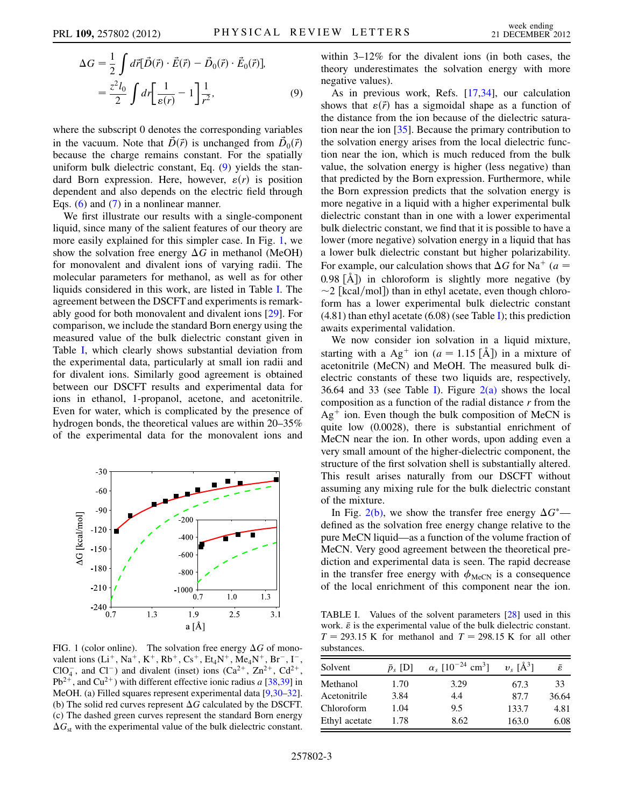<span id="page-2-0"></span>
$$
\Delta G = \frac{1}{2} \int d\vec{r} [\vec{D}(\vec{r}) \cdot \vec{E}(\vec{r}) - \vec{D}_0(\vec{r}) \cdot \vec{E}_0(\vec{r})],
$$
  

$$
= \frac{z^2 l_0}{2} \int dr \left[ \frac{1}{\varepsilon(r)} - 1 \right] \frac{1}{r^2},
$$
(9)

where the subscript 0 denotes the corresponding variables in the vacuum. Note that  $\vec{D}(\vec{r})$  is unchanged from  $\vec{D}_0(\vec{r})$ because the charge remains constant. For the spatially uniform bulk dielectric constant, Eq. [\(9\)](#page-2-0) yields the standard Born expression. Here, however,  $\varepsilon(r)$  is position dependent and also depends on the electric field through Eqs. ([6\)](#page-1-1) and [\(7](#page-1-3)) in a nonlinear manner.

We first illustrate our results with a single-component liquid, since many of the salient features of our theory are more easily explained for this simpler case. In Fig. [1,](#page-2-1) we show the solvation free energy  $\Delta G$  in methanol (MeOH) for monovalent and divalent ions of varying radii. The molecular parameters for methanol, as well as for other liquids considered in this work, are listed in Table [I.](#page-2-2) The agreement between the DSCFT and experiments is remarkably good for both monovalent and divalent ions [\[29\]](#page-4-23). For comparison, we include the standard Born energy using the measured value of the bulk dielectric constant given in Table [I](#page-2-2), which clearly shows substantial deviation from the experimental data, particularly at small ion radii and for divalent ions. Similarly good agreement is obtained between our DSCFT results and experimental data for ions in ethanol, 1-propanol, acetone, and acetonitrile. Even for water, which is complicated by the presence of hydrogen bonds, the theoretical values are within 20–35% of the experimental data for the monovalent ions and

<span id="page-2-1"></span>

FIG. 1 (color online). The solvation free energy  $\Delta G$  of monovalent ions  $(L<sup>+</sup>, Na<sup>+</sup>, K<sup>+</sup>, Rb<sup>+</sup>, Cs<sup>+</sup>, Et<sub>4</sub>N<sup>+</sup>, Me<sub>4</sub>N<sup>+</sup>, Br<sup>-</sup>, I<sup>-</sup>,$  $ClO<sub>4</sub><sup>-</sup>$ , and  $Cl<sup>-</sup>$ ) and divalent (inset) ions (Ca<sup>2+</sup>, Zn<sup>2+</sup>, Cd<sup>2+</sup>,  $Pb^{2+}$ , and Cu<sup>2+</sup>) with different effective ionic radius a [\[38,](#page-4-26)[39](#page-4-27)] in MeOH. (a) Filled squares represent experimental data [[9](#page-4-7),[30](#page-4-28)[–32\]](#page-4-29). (b) The solid red curves represent  $\Delta G$  calculated by the DSCFT. (c) The dashed green curves represent the standard Born energy  $\Delta G_{\rm st}$  with the experimental value of the bulk dielectric constant.

within 3–12% for the divalent ions (in both cases, the theory underestimates the solvation energy with more negative values).

As in previous work, Refs. [[17](#page-4-13),[34](#page-4-24)], our calculation shows that  $\varepsilon(\vec{r})$  has a sigmoidal shape as a function of the distance from the ion because of the dielectric saturation near the ion [[35](#page-4-25)]. Because the primary contribution to the solvation energy arises from the local dielectric function near the ion, which is much reduced from the bulk value, the solvation energy is higher (less negative) than that predicted by the Born expression. Furthermore, while the Born expression predicts that the solvation energy is more negative in a liquid with a higher experimental bulk dielectric constant than in one with a lower experimental bulk dielectric constant, we find that it is possible to have a lower (more negative) solvation energy in a liquid that has a lower bulk dielectric constant but higher polarizability. For example, our calculation shows that  $\Delta G$  for Na<sup>+</sup> (a =  $0.98$   $\rm{[\AA]}$  in chloroform is slightly more negative (by  $\sim$ 2 [kcal/mol]) than in ethyl acetate, even though chloroform has a lower experimental bulk dielectric constant  $(4.81)$  than ethyl acetate  $(6.08)$  (see Table [I\)](#page-2-2); this prediction awaits experimental validation.

We now consider ion solvation in a liquid mixture, starting with a Ag<sup>+</sup> ion ( $a = 1.15$   $\vert \text{Å} \vert$ ) in a mixture of acetonitrile (MeCN) and MeOH. The measured bulk dielectric constants of these two liquids are, respectively, 36.64 and 33 (see Table [I\)](#page-2-2). Figure  $2(a)$  shows the local composition as a function of the radial distance  $r$  from the  $Ag<sup>+</sup>$  ion. Even though the bulk composition of MeCN is quite low (0.0028), there is substantial enrichment of MeCN near the ion. In other words, upon adding even a very small amount of the higher-dielectric component, the structure of the first solvation shell is substantially altered. This result arises naturally from our DSCFT without assuming any mixing rule for the bulk dielectric constant of the mixture.

In Fig. [2\(b\),](#page-3-0) we show the transfer free energy  $\Delta G^*$  defined as the solvation free energy change relative to the pure MeCN liquid—as a function of the volume fraction of MeCN. Very good agreement between the theoretical prediction and experimental data is seen. The rapid decrease in the transfer free energy with  $\phi_{\text{MeCN}}$  is a consequence of the local enrichment of this component near the ion.

<span id="page-2-2"></span>TABLE I. Values of the solvent parameters [\[28\]](#page-4-30) used in this work.  $\bar{\varepsilon}$  is the experimental value of the bulk dielectric constant.  $T = 293.15$  K for methanol and  $T = 298.15$  K for all other substances.

| Solvent       | $\bar{p}$ , $ D $ | $\alpha_s$ [10 <sup>-24</sup> cm <sup>3</sup> ] | $v_s$ [ $\AA^3$ ] | ε     |
|---------------|-------------------|-------------------------------------------------|-------------------|-------|
| Methanol      | 1.70              | 3.29                                            | 67.3              | 33    |
| Acetonitrile  | 3.84              | 4.4                                             | 87.7              | 36.64 |
| Chloroform    | 1.04              | 9.5                                             | 133.7             | 4.81  |
| Ethyl acetate | 1.78              | 8.62                                            | 163.0             | 6.08  |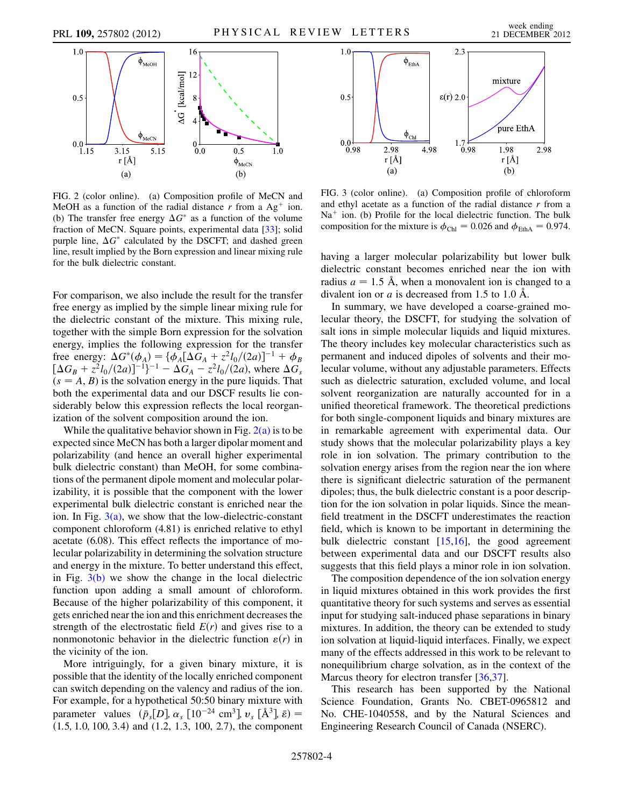

<span id="page-3-0"></span>FIG. 2 (color online). (a) Composition profile of MeCN and MeOH as a function of the radial distance r from a  $Ag<sup>+</sup>$  ion. (b) The transfer free energy  $\Delta G^*$  as a function of the volume fraction of MeCN. Square points, experimental data [\[33\]](#page-4-34); solid purple line,  $\Delta G^*$  calculated by the DSCFT; and dashed green line, result implied by the Born expression and linear mixing rule for the bulk dielectric constant.

For comparison, we also include the result for the transfer free energy as implied by the simple linear mixing rule for the dielectric constant of the mixture. This mixing rule, together with the simple Born expression for the solvation energy, implies the following expression for the transfer free energy:  $\Delta G^*(\phi_A) = {\phi_A} [\Delta G_A + z^2 l_0/(2a)]^{-1} + \phi_B$ <br> $[\Delta G_B + z^2 l_0/(2a)]^{-1}$ <sup>-1</sup> –  $\Delta G_L - z^2 l_0/(2a)$  where  $\Delta G_L$  $[\Delta G_B + z^2 I_0/(2a)]^{-1}$ <sup>-1</sup> -  $\Delta G_A - z^2 I_0/(2a)$ , where  $\Delta G_s$ <br>(s = A, B) is the solvation energy in the pure liquids. That  $(s = A, B)$  is the solvation energy in the pure liquids. That<br>both the experimental data and our DSCE results lie conboth the experimental data and our DSCF results lie considerably below this expression reflects the local reorganization of the solvent composition around the ion.

While the qualitative behavior shown in Fig.  $2(a)$  is to be expected since MeCN has both a larger dipolar moment and polarizability (and hence an overall higher experimental bulk dielectric constant) than MeOH, for some combinations of the permanent dipole moment and molecular polarizability, it is possible that the component with the lower experimental bulk dielectric constant is enriched near the ion. In Fig.  $3(a)$ , we show that the low-dielectric-constant component chloroform (4.81) is enriched relative to ethyl acetate (6.08). This effect reflects the importance of molecular polarizability in determining the solvation structure and energy in the mixture. To better understand this effect, in Fig. [3\(b\)](#page-3-1) we show the change in the local dielectric function upon adding a small amount of chloroform. Because of the higher polarizability of this component, it gets enriched near the ion and this enrichment decreases the strength of the electrostatic field  $E(r)$  and gives rise to a nonmonotonic behavior in the dielectric function  $\varepsilon(r)$  in the vicinity of the ion.

More intriguingly, for a given binary mixture, it is possible that the identity of the locally enriched component can switch depending on the valency and radius of the ion. For example, for a hypothetical 50:50 binary mixture with parameter values  $(\bar{p}_s[D], \alpha_s [10^{-24} \text{ cm}^3], \nu_s [\text{\AA}^3], \bar{\epsilon}$ <br>(1.5, 1.0, 100, 3.4) and (1.2, 1.3, 100, 2.7), the component (1.5, 1.0, 100, 3.4) and (1.2, 1.3, 100, 2.7), the component



<span id="page-3-1"></span>FIG. 3 (color online). (a) Composition profile of chloroform and ethyl acetate as a function of the radial distance  $r$  from a  $Na<sup>+</sup>$  ion. (b) Profile for the local dielectric function. The bulk composition for the mixture is  $\phi_{\text{Chl}} = 0.026$  and  $\phi_{\text{EthA}} = 0.974$ .

having a larger molecular polarizability but lower bulk dielectric constant becomes enriched near the ion with radius  $a = 1.5$  Å, when a monovalent ion is changed to a divalent ion or  $a$  is decreased from 1.5 to 1.0  $\AA$ .

In summary, we have developed a coarse-grained molecular theory, the DSCFT, for studying the solvation of salt ions in simple molecular liquids and liquid mixtures. The theory includes key molecular characteristics such as permanent and induced dipoles of solvents and their molecular volume, without any adjustable parameters. Effects such as dielectric saturation, excluded volume, and local solvent reorganization are naturally accounted for in a unified theoretical framework. The theoretical predictions for both single-component liquids and binary mixtures are in remarkable agreement with experimental data. Our study shows that the molecular polarizability plays a key role in ion solvation. The primary contribution to the solvation energy arises from the region near the ion where there is significant dielectric saturation of the permanent dipoles; thus, the bulk dielectric constant is a poor description for the ion solvation in polar liquids. Since the meanfield treatment in the DSCFT underestimates the reaction field, which is known to be important in determining the bulk dielectric constant  $[15,16]$  $[15,16]$ , the good agreement between experimental data and our DSCFT results also suggests that this field plays a minor role in ion solvation.

The composition dependence of the ion solvation energy in liquid mixtures obtained in this work provides the first quantitative theory for such systems and serves as essential input for studying salt-induced phase separations in binary mixtures. In addition, the theory can be extended to study ion solvation at liquid-liquid interfaces. Finally, we expect many of the effects addressed in this work to be relevant to nonequilibrium charge solvation, as in the context of the Marcus theory for electron transfer [[36](#page-4-32),[37](#page-4-33)].

This research has been supported by the National Science Foundation, Grants No. CBET-0965812 and No. CHE-1040558, and by the Natural Sciences and Engineering Research Council of Canada (NSERC).